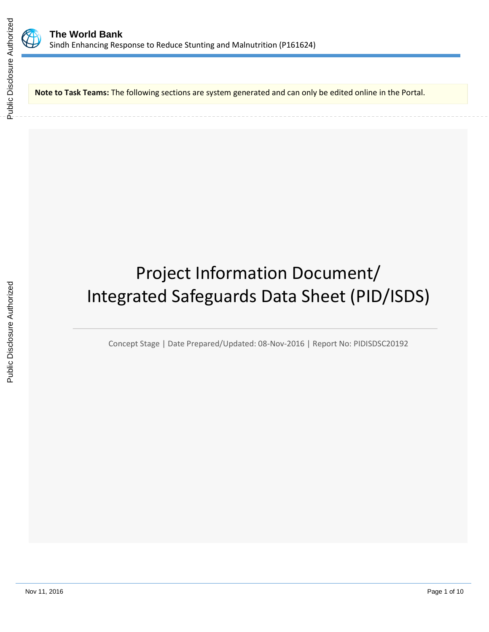

**Note to Task Teams:** The following sections are system generated and can only be edited online in the Portal.

# Project Information Document/ Integrated Safeguards Data Sheet (PID/ISDS)

Concept Stage | Date Prepared/Updated: 08-Nov-2016 | Report No: PIDISDSC20192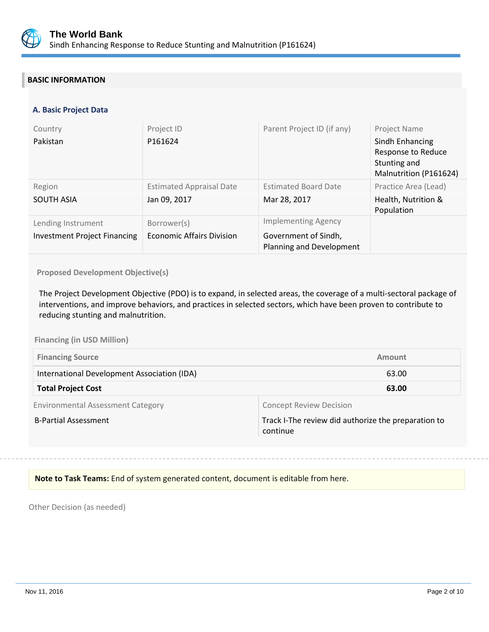

## **BASIC INFORMATION**

## **A. Basic Project Data**

| Country<br>Pakistan                                       | Project ID<br>P161624                           | Parent Project ID (if any)                                                     | Project Name<br>Sindh Enhancing<br>Response to Reduce<br>Stunting and<br>Malnutrition (P161624) |
|-----------------------------------------------------------|-------------------------------------------------|--------------------------------------------------------------------------------|-------------------------------------------------------------------------------------------------|
| Region<br><b>SOUTH ASIA</b>                               | <b>Estimated Appraisal Date</b><br>Jan 09, 2017 | <b>Estimated Board Date</b><br>Mar 28, 2017                                    | Practice Area (Lead)<br>Health, Nutrition &<br>Population                                       |
| Lending Instrument<br><b>Investment Project Financing</b> | Borrower(s)<br><b>Economic Affairs Division</b> | <b>Implementing Agency</b><br>Government of Sindh,<br>Planning and Development |                                                                                                 |

**Proposed Development Objective(s)** 

The Project Development Objective (PDO) is to expand, in selected areas, the coverage of a multi-sectoral package of interventions, and improve behaviors, and practices in selected sectors, which have been proven to contribute to reducing stunting and malnutrition.

**Financing (in USD Million)**

| <b>Financing Source</b>                     | Amount |
|---------------------------------------------|--------|
| International Development Association (IDA) | 63.00  |
| <b>Total Project Cost</b>                   | 63.00  |

Environmental Assessment Category **Concept Review Decision** 

B-Partial Assessment Track I-The review did authorize the preparation to continue

**Note to Task Teams:** End of system generated content, document is editable from here.

Other Decision (as needed)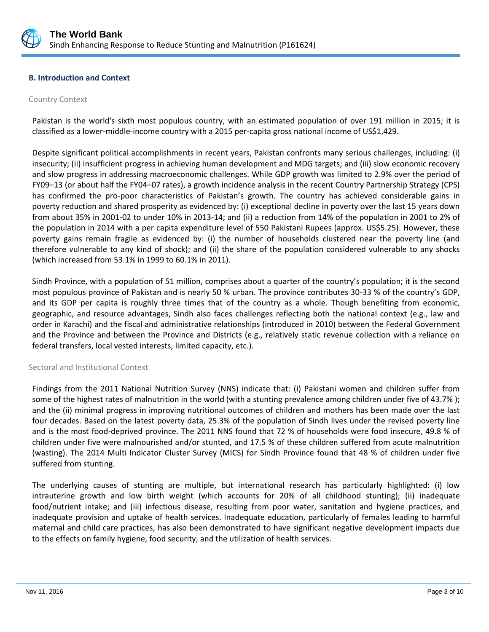

## **B. Introduction and Context**

#### Country Context

Pakistan is the world's sixth most populous country, with an estimated population of over 191 million in 2015; it is classified as a lower-middle-income country with a 2015 per-capita gross national income of US\$1,429.

Despite significant political accomplishments in recent years, Pakistan confronts many serious challenges, including: (i) insecurity; (ii) insufficient progress in achieving human development and MDG targets; and (iii) slow economic recovery and slow progress in addressing macroeconomic challenges. While GDP growth was limited to 2.9% over the period of FY09–13 (or about half the FY04–07 rates), a growth incidence analysis in the recent Country Partnership Strategy (CPS) has confirmed the pro-poor characteristics of Pakistan's growth. The country has achieved considerable gains in poverty reduction and shared prosperity as evidenced by: (i) exceptional decline in poverty over the last 15 years down from about 35% in 2001-02 to under 10% in 2013-14; and (ii) a reduction from 14% of the population in 2001 to 2% of the population in 2014 with a per capita expenditure level of 550 Pakistani Rupees (approx. US\$5.25). However, these poverty gains remain fragile as evidenced by: (i) the number of households clustered near the poverty line (and therefore vulnerable to any kind of shock); and (ii) the share of the population considered vulnerable to any shocks (which increased from 53.1% in 1999 to 60.1% in 2011).

Sindh Province, with a population of 51 million, comprises about a quarter of the country's population; it is the second most populous province of Pakistan and is nearly 50 % urban. The province contributes 30-33 % of the country's GDP, and its GDP per capita is roughly three times that of the country as a whole. Though benefiting from economic, geographic, and resource advantages, Sindh also faces challenges reflecting both the national context (e.g., law and order in Karachi) and the fiscal and administrative relationships (introduced in 2010) between the Federal Government and the Province and between the Province and Districts (e.g., relatively static revenue collection with a reliance on federal transfers, local vested interests, limited capacity, etc.).

#### Sectoral and Institutional Context

Findings from the 2011 National Nutrition Survey (NNS) indicate that: (i) Pakistani women and children suffer from some of the highest rates of malnutrition in the world (with a stunting prevalence among children under five of 43.7% ); and the (ii) minimal progress in improving nutritional outcomes of children and mothers has been made over the last four decades. Based on the latest poverty data, 25.3% of the population of Sindh lives under the revised poverty line and is the most food-deprived province. The 2011 NNS found that 72 % of households were food insecure, 49.8 % of children under five were malnourished and/or stunted, and 17.5 % of these children suffered from acute malnutrition (wasting). The 2014 Multi Indicator Cluster Survey (MICS) for Sindh Province found that 48 % of children under five suffered from stunting.

The underlying causes of stunting are multiple, but international research has particularly highlighted: (i) low intrauterine growth and low birth weight (which accounts for 20% of all childhood stunting); (ii) inadequate food/nutrient intake; and (iii) infectious disease, resulting from poor water, sanitation and hygiene practices, and inadequate provision and uptake of health services. Inadequate education, particularly of females leading to harmful maternal and child care practices, has also been demonstrated to have significant negative development impacts due to the effects on family hygiene, food security, and the utilization of health services.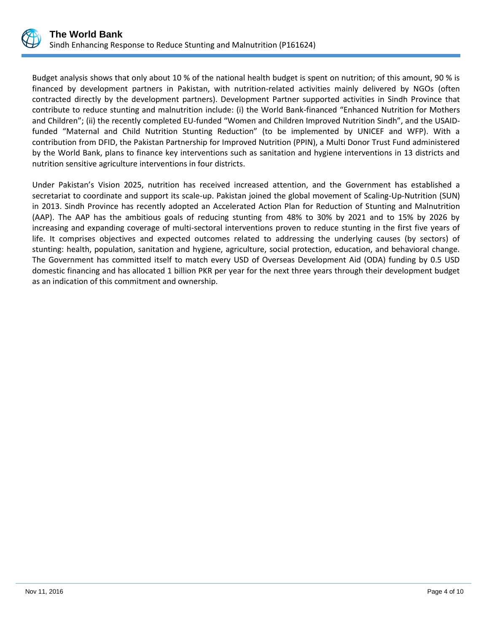

Budget analysis shows that only about 10 % of the national health budget is spent on nutrition; of this amount, 90 % is financed by development partners in Pakistan, with nutrition-related activities mainly delivered by NGOs (often contracted directly by the development partners). Development Partner supported activities in Sindh Province that contribute to reduce stunting and malnutrition include: (i) the World Bank-financed "Enhanced Nutrition for Mothers and Children"; (ii) the recently completed EU-funded "Women and Children Improved Nutrition Sindh", and the USAIDfunded "Maternal and Child Nutrition Stunting Reduction" (to be implemented by UNICEF and WFP). With a contribution from DFID, the Pakistan Partnership for Improved Nutrition (PPIN), a Multi Donor Trust Fund administered by the World Bank, plans to finance key interventions such as sanitation and hygiene interventions in 13 districts and nutrition sensitive agriculture interventions in four districts.

Under Pakistan's Vision 2025, nutrition has received increased attention, and the Government has established a secretariat to coordinate and support its scale-up. Pakistan joined the global movement of Scaling-Up-Nutrition (SUN) in 2013. Sindh Province has recently adopted an Accelerated Action Plan for Reduction of Stunting and Malnutrition (AAP). The AAP has the ambitious goals of reducing stunting from 48% to 30% by 2021 and to 15% by 2026 by increasing and expanding coverage of multi-sectoral interventions proven to reduce stunting in the first five years of life. It comprises objectives and expected outcomes related to addressing the underlying causes (by sectors) of stunting: health, population, sanitation and hygiene, agriculture, social protection, education, and behavioral change. The Government has committed itself to match every USD of Overseas Development Aid (ODA) funding by 0.5 USD domestic financing and has allocated 1 billion PKR per year for the next three years through their development budget as an indication of this commitment and ownership.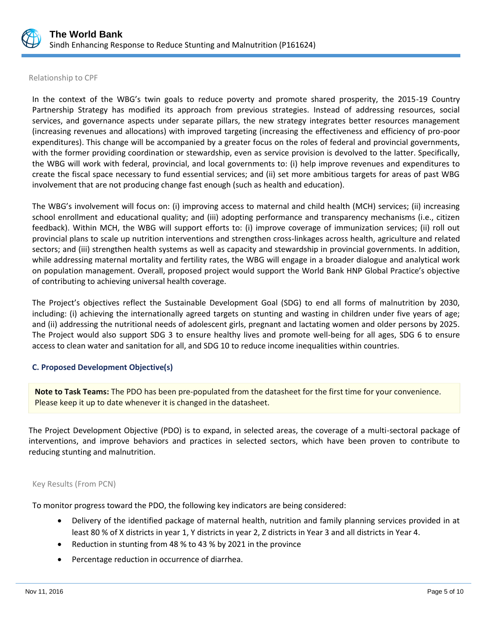

#### Relationship to CPF

In the context of the WBG's twin goals to reduce poverty and promote shared prosperity, the 2015-19 Country Partnership Strategy has modified its approach from previous strategies. Instead of addressing resources, social services, and governance aspects under separate pillars, the new strategy integrates better resources management (increasing revenues and allocations) with improved targeting (increasing the effectiveness and efficiency of pro-poor expenditures). This change will be accompanied by a greater focus on the roles of federal and provincial governments, with the former providing coordination or stewardship, even as service provision is devolved to the latter. Specifically, the WBG will work with federal, provincial, and local governments to: (i) help improve revenues and expenditures to create the fiscal space necessary to fund essential services; and (ii) set more ambitious targets for areas of past WBG involvement that are not producing change fast enough (such as health and education).

The WBG's involvement will focus on: (i) improving access to maternal and child health (MCH) services; (ii) increasing school enrollment and educational quality; and (iii) adopting performance and transparency mechanisms (i.e., citizen feedback). Within MCH, the WBG will support efforts to: (i) improve coverage of immunization services; (ii) roll out provincial plans to scale up nutrition interventions and strengthen cross-linkages across health, agriculture and related sectors; and (iii) strengthen health systems as well as capacity and stewardship in provincial governments. In addition, while addressing maternal mortality and fertility rates, the WBG will engage in a broader dialogue and analytical work on population management. Overall, proposed project would support the World Bank HNP Global Practice's objective of contributing to achieving universal health coverage.

The Project's objectives reflect the Sustainable Development Goal (SDG) to end all forms of malnutrition by 2030, including: (i) achieving the internationally agreed targets on stunting and wasting in children under five years of age; and (ii) addressing the nutritional needs of adolescent girls, pregnant and lactating women and older persons by 2025. The Project would also support SDG 3 to ensure healthy lives and promote well-being for all ages, SDG 6 to ensure access to clean water and sanitation for all, and SDG 10 to reduce income inequalities within countries.

## **C. Proposed Development Objective(s)**

**Note to Task Teams:** The PDO has been pre-populated from the datasheet for the first time for your convenience. Please keep it up to date whenever it is changed in the datasheet.

The Project Development Objective (PDO) is to expand, in selected areas, the coverage of a multi-sectoral package of interventions, and improve behaviors and practices in selected sectors, which have been proven to contribute to reducing stunting and malnutrition.

## Key Results (From PCN)

To monitor progress toward the PDO, the following key indicators are being considered:

- Delivery of the identified package of maternal health, nutrition and family planning services provided in at least 80 % of X districts in year 1, Y districts in year 2, Z districts in Year 3 and all districts in Year 4.
- Reduction in stunting from 48 % to 43 % by 2021 in the province
- Percentage reduction in occurrence of diarrhea.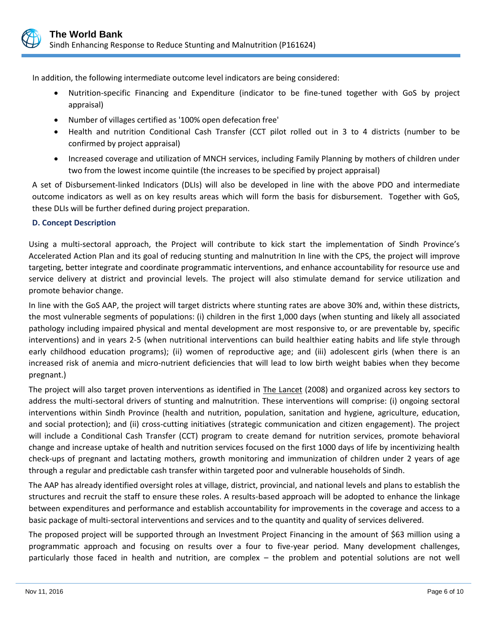

In addition, the following intermediate outcome level indicators are being considered:

- Nutrition-specific Financing and Expenditure (indicator to be fine-tuned together with GoS by project appraisal)
- Number of villages certified as '100% open defecation free'
- Health and nutrition Conditional Cash Transfer (CCT pilot rolled out in 3 to 4 districts (number to be confirmed by project appraisal)
- Increased coverage and utilization of MNCH services, including Family Planning by mothers of children under two from the lowest income quintile (the increases to be specified by project appraisal)

A set of Disbursement-linked Indicators (DLIs) will also be developed in line with the above PDO and intermediate outcome indicators as well as on key results areas which will form the basis for disbursement. Together with GoS, these DLIs will be further defined during project preparation.

## **D. Concept Description**

Using a multi-sectoral approach, the Project will contribute to kick start the implementation of Sindh Province's Accelerated Action Plan and its goal of reducing stunting and malnutrition In line with the CPS, the project will improve targeting, better integrate and coordinate programmatic interventions, and enhance accountability for resource use and service delivery at district and provincial levels. The project will also stimulate demand for service utilization and promote behavior change.

In line with the GoS AAP, the project will target districts where stunting rates are above 30% and, within these districts, the most vulnerable segments of populations: (i) children in the first 1,000 days (when stunting and likely all associated pathology including impaired physical and mental development are most responsive to, or are preventable by, specific interventions) and in years 2-5 (when nutritional interventions can build healthier eating habits and life style through early childhood education programs); (ii) women of reproductive age; and (iii) adolescent girls (when there is an increased risk of anemia and micro-nutrient deficiencies that will lead to low birth weight babies when they become pregnant.)

The project will also target proven interventions as identified in The Lancet (2008) and organized across key sectors to address the multi-sectoral drivers of stunting and malnutrition. These interventions will comprise: (i) ongoing sectoral interventions within Sindh Province (health and nutrition, population, sanitation and hygiene, agriculture, education, and social protection); and (ii) cross-cutting initiatives (strategic communication and citizen engagement). The project will include a Conditional Cash Transfer (CCT) program to create demand for nutrition services, promote behavioral change and increase uptake of health and nutrition services focused on the first 1000 days of life by incentivizing health check-ups of pregnant and lactating mothers, growth monitoring and immunization of children under 2 years of age through a regular and predictable cash transfer within targeted poor and vulnerable households of Sindh.

The AAP has already identified oversight roles at village, district, provincial, and national levels and plans to establish the structures and recruit the staff to ensure these roles. A results-based approach will be adopted to enhance the linkage between expenditures and performance and establish accountability for improvements in the coverage and access to a basic package of multi-sectoral interventions and services and to the quantity and quality of services delivered.

The proposed project will be supported through an Investment Project Financing in the amount of \$63 million using a programmatic approach and focusing on results over a four to five-year period. Many development challenges, particularly those faced in health and nutrition, are complex – the problem and potential solutions are not well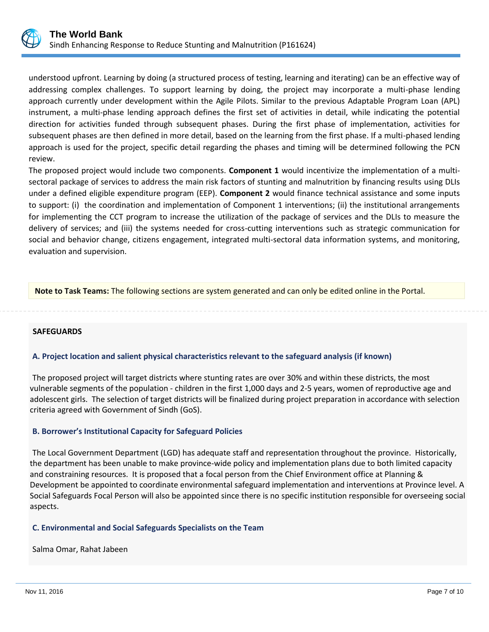

understood upfront. Learning by doing (a structured process of testing, learning and iterating) can be an effective way of addressing complex challenges. To support learning by doing, the project may incorporate a multi-phase lending approach currently under development within the Agile Pilots. Similar to the previous Adaptable Program Loan (APL) instrument, a multi-phase lending approach defines the first set of activities in detail, while indicating the potential direction for activities funded through subsequent phases. During the first phase of implementation, activities for subsequent phases are then defined in more detail, based on the learning from the first phase. If a multi-phased lending approach is used for the project, specific detail regarding the phases and timing will be determined following the PCN review.

The proposed project would include two components. **Component 1** would incentivize the implementation of a multisectoral package of services to address the main risk factors of stunting and malnutrition by financing results using DLIs under a defined eligible expenditure program (EEP). **Component 2** would finance technical assistance and some inputs to support: (i) the coordination and implementation of Component 1 interventions; (ii) the institutional arrangements for implementing the CCT program to increase the utilization of the package of services and the DLIs to measure the delivery of services; and (iii) the systems needed for cross-cutting interventions such as strategic communication for social and behavior change, citizens engagement, integrated multi-sectoral data information systems, and monitoring, evaluation and supervision.

**Note to Task Teams:** The following sections are system generated and can only be edited online in the Portal.

 **SAFEGUARDS**

## **A. Project location and salient physical characteristics relevant to the safeguard analysis (if known)**

The proposed project will target districts where stunting rates are over 30% and within these districts, the most vulnerable segments of the population - children in the first 1,000 days and 2-5 years, women of reproductive age and adolescent girls. The selection of target districts will be finalized during project preparation in accordance with selection criteria agreed with Government of Sindh (GoS).

## **B. Borrower's Institutional Capacity for Safeguard Policies**

The Local Government Department (LGD) has adequate staff and representation throughout the province. Historically, the department has been unable to make province-wide policy and implementation plans due to both limited capacity and constraining resources. It is proposed that a focal person from the Chief Environment office at Planning & Development be appointed to coordinate environmental safeguard implementation and interventions at Province level. A Social Safeguards Focal Person will also be appointed since there is no specific institution responsible for overseeing social aspects.

#### **C. Environmental and Social Safeguards Specialists on the Team**

Salma Omar, Rahat Jabeen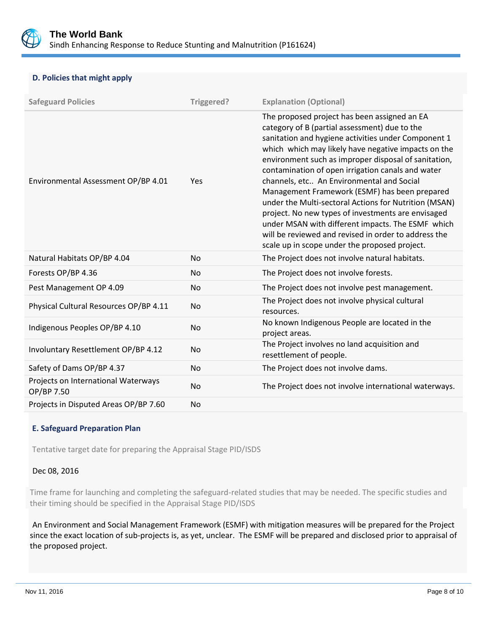

## **D. Policies that might apply**

| <b>Safeguard Policies</b>                                      | Triggered? | <b>Explanation (Optional)</b>                                                                                                                                                                                                                                                                                                                                                                                                                                                                                                                                                                                                                                                                       |
|----------------------------------------------------------------|------------|-----------------------------------------------------------------------------------------------------------------------------------------------------------------------------------------------------------------------------------------------------------------------------------------------------------------------------------------------------------------------------------------------------------------------------------------------------------------------------------------------------------------------------------------------------------------------------------------------------------------------------------------------------------------------------------------------------|
| Environmental Assessment OP/BP 4.01                            | Yes        | The proposed project has been assigned an EA<br>category of B (partial assessment) due to the<br>sanitation and hygiene activities under Component 1<br>which which may likely have negative impacts on the<br>environment such as improper disposal of sanitation,<br>contamination of open irrigation canals and water<br>channels, etc An Environmental and Social<br>Management Framework (ESMF) has been prepared<br>under the Multi-sectoral Actions for Nutrition (MSAN)<br>project. No new types of investments are envisaged<br>under MSAN with different impacts. The ESMF which<br>will be reviewed and revised in order to address the<br>scale up in scope under the proposed project. |
| Natural Habitats OP/BP 4.04                                    | <b>No</b>  | The Project does not involve natural habitats.                                                                                                                                                                                                                                                                                                                                                                                                                                                                                                                                                                                                                                                      |
| Forests OP/BP 4.36                                             | <b>No</b>  | The Project does not involve forests.                                                                                                                                                                                                                                                                                                                                                                                                                                                                                                                                                                                                                                                               |
| Pest Management OP 4.09                                        | <b>No</b>  | The Project does not involve pest management.                                                                                                                                                                                                                                                                                                                                                                                                                                                                                                                                                                                                                                                       |
| Physical Cultural Resources OP/BP 4.11                         | <b>No</b>  | The Project does not involve physical cultural<br>resources.                                                                                                                                                                                                                                                                                                                                                                                                                                                                                                                                                                                                                                        |
| Indigenous Peoples OP/BP 4.10                                  | <b>No</b>  | No known Indigenous People are located in the<br>project areas.                                                                                                                                                                                                                                                                                                                                                                                                                                                                                                                                                                                                                                     |
| Involuntary Resettlement OP/BP 4.12                            | <b>No</b>  | The Project involves no land acquisition and<br>resettlement of people.                                                                                                                                                                                                                                                                                                                                                                                                                                                                                                                                                                                                                             |
| Safety of Dams OP/BP 4.37                                      | <b>No</b>  | The Project does not involve dams.                                                                                                                                                                                                                                                                                                                                                                                                                                                                                                                                                                                                                                                                  |
| Projects on International Waterways<br><b>No</b><br>OP/BP 7.50 |            | The Project does not involve international waterways.                                                                                                                                                                                                                                                                                                                                                                                                                                                                                                                                                                                                                                               |
| Projects in Disputed Areas OP/BP 7.60                          | <b>No</b>  |                                                                                                                                                                                                                                                                                                                                                                                                                                                                                                                                                                                                                                                                                                     |

## **E. Safeguard Preparation Plan**

Tentative target date for preparing the Appraisal Stage PID/ISDS

## Dec 08, 2016

Time frame for launching and completing the safeguard-related studies that may be needed. The specific studies and their timing should be specified in the Appraisal Stage PID/ISDS

An Environment and Social Management Framework (ESMF) with mitigation measures will be prepared for the Project since the exact location of sub-projects is, as yet, unclear. The ESMF will be prepared and disclosed prior to appraisal of the proposed project.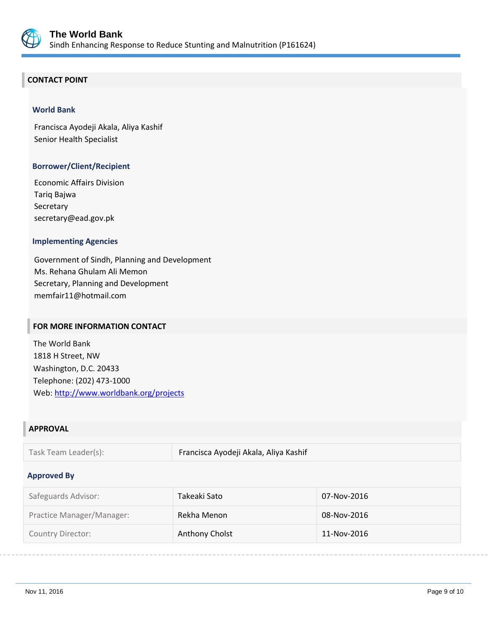

## **CONTACT POINT**

## **World Bank**

Francisca Ayodeji Akala, Aliya Kashif Senior Health Specialist

## **Borrower/Client/Recipient**

Economic Affairs Division Tariq Bajwa Secretary secretary@ead.gov.pk

## **Implementing Agencies**

Government of Sindh, Planning and Development Ms. Rehana Ghulam Ali Memon Secretary, Planning and Development memfair11@hotmail.com

## **FOR MORE INFORMATION CONTACT**

The World Bank 1818 H Street, NW Washington, D.C. 20433 Telephone: (202) 473-1000 Web:<http://www.worldbank.org/projects>

## **APPROVAL**

Task Team Leader(s): Francisca Ayodeji Akala, Aliya Kashif

#### **Approved By**

| Safeguards Advisor:       | Takeaki Sato   | 07-Nov-2016 |
|---------------------------|----------------|-------------|
| Practice Manager/Manager: | Rekha Menon    | 08-Nov-2016 |
| <b>Country Director:</b>  | Anthony Cholst | 11-Nov-2016 |